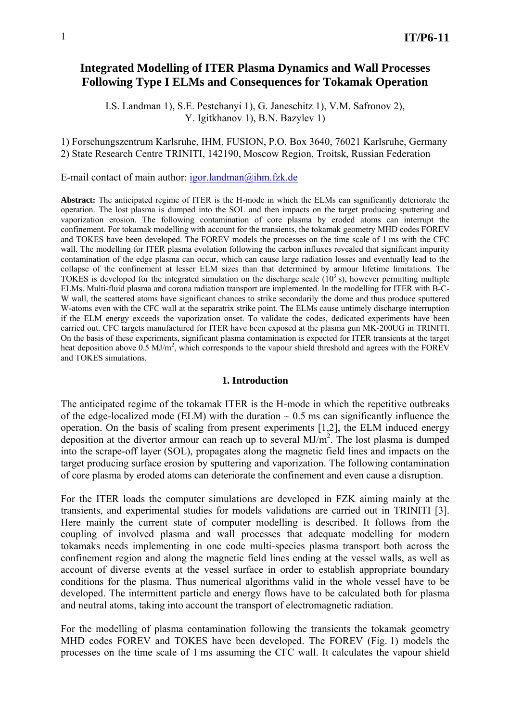# **Integrated Modelling of ITER Plasma Dynamics and Wall Processes Following Type I ELMs and Consequences for Tokamak Operation**

I.S. Landman 1), S.E. Pestchanyi 1), G. Janeschitz 1), V.M. Safronov 2), Y. Igitkhanov 1), B.N. Bazylev 1)

#### 1) Forschungszentrum Karlsruhe, IHM, FUSION, P.O. Box 3640, 76021 Karlsruhe, Germany 2) State Research Centre TRINITI, 142190, Moscow Region, Troitsk, Russian Federation

E-mail contact of main author:  $igor.landman@ihm.fzk.de$ 

**Abstract:** The anticipated regime of ITER is the H-mode in which the ELMs can significantly deteriorate the operation. The lost plasma is dumped into the SOL and then impacts on the target producing sputtering and vaporization erosion. The following contamination of core plasma by eroded atoms can interrupt the confinement. For tokamak modelling with account for the transients, the tokamak geometry MHD codes FOREV and TOKES have been developed. The FOREV models the processes on the time scale of 1 ms with the CFC wall. The modelling for ITER plasma evolution following the carbon influxes revealed that significant impurity contamination of the edge plasma can occur, which can cause large radiation losses and eventually lead to the collapse of the confinement at lesser ELM sizes than that determined by armour lifetime limitations. The TOKES is developed for the integrated simulation on the discharge scale  $(10^3 s)$ , however permitting multiple ELMs. Multi-fluid plasma and corona radiation transport are implemented. In the modelling for ITER with B-C-W wall, the scattered atoms have significant chances to strike secondarily the dome and thus produce sputtered W-atoms even with the CFC wall at the separatrix strike point. The ELMs cause untimely discharge interruption if the ELM energy exceeds the vaporization onset. To validate the codes, dedicated experiments have been carried out. CFC targets manufactured for ITER have been exposed at the plasma gun MK-200UG in TRINITI. On the basis of these experiments, significant plasma contamination is expected for ITER transients at the target heat deposition above 0.5 MJ/m<sup>2</sup>, which corresponds to the vapour shield threshold and agrees with the FOREV and TOKES simulations.

#### **1. Introduction**

The anticipated regime of the tokamak ITER is the H-mode in which the repetitive outbreaks of the edge-localized mode (ELM) with the duration  $\sim 0.5$  ms can significantly influence the operation. On the basis of scaling from present experiments [1,2], the ELM induced energy deposition at the divertor armour can reach up to several  $MJ/m<sup>2</sup>$ . The lost plasma is dumped into the scrape-off layer (SOL), propagates along the magnetic field lines and impacts on the target producing surface erosion by sputtering and vaporization. The following contamination of core plasma by eroded atoms can deteriorate the confinement and even cause a disruption.

For the ITER loads the computer simulations are developed in FZK aiming mainly at the transients, and experimental studies for models validations are carried out in TRINITI [3]. Here mainly the current state of computer modelling is described. It follows from the coupling of involved plasma and wall processes that adequate modelling for modern tokamaks needs implementing in one code multi-species plasma transport both across the confinement region and along the magnetic field lines ending at the vessel walls, as well as account of diverse events at the vessel surface in order to establish appropriate boundary conditions for the plasma. Thus numerical algorithms valid in the whole vessel have to be developed. The intermittent particle and energy flows have to be calculated both for plasma and neutral atoms, taking into account the transport of electromagnetic radiation.

For the modelling of plasma contamination following the transients the tokamak geometry MHD codes FOREV and TOKES have been developed. The FOREV (Fig. 1) models the processes on the time scale of 1 ms assuming the CFC wall. It calculates the vapour shield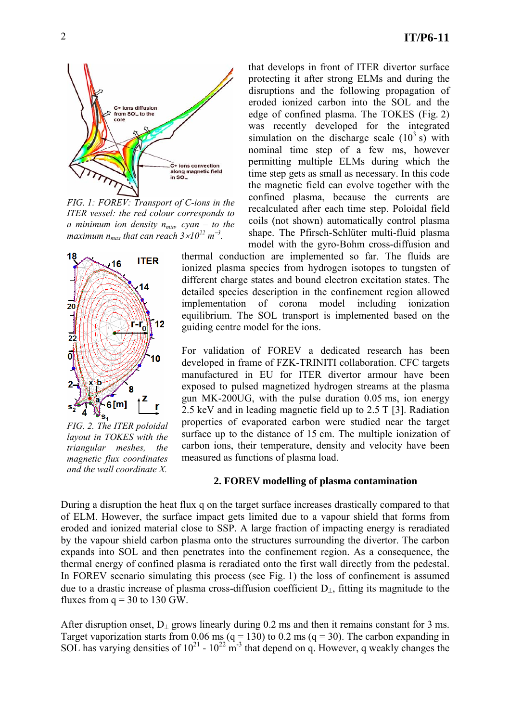

*FIG. 1: FOREV: Transport of C-ions in the ITER vessel: the red colour corresponds to a* minimum ion density  $n_{min}$ , cyan – to the *maximum*  $n_{max}$  that can reach  $3 \times 10^{22}$  m<sup>-3</sup>.



*FIG. 2. The ITER poloidal layout in TOKES with the triangular meshes, the magnetic flux coordinates and the wall coordinate X.* 

that develops in front of ITER divertor surface protecting it after strong ELMs and during the disruptions and the following propagation of eroded ionized carbon into the SOL and the edge of confined plasma. The TOKES (Fig. 2) was recently developed for the integrated simulation on the discharge scale  $(10^3 \text{ s})$  with nominal time step of a few ms, however permitting multiple ELMs during which the time step gets as small as necessary. In this code the magnetic field can evolve together with the confined plasma, because the currents are recalculated after each time step. Poloidal field coils (not shown) automatically control plasma shape. The Pfirsch-Schlüter multi-fluid plasma model with the gyro-Bohm cross-diffusion and

thermal conduction are implemented so far. The fluids are ionized plasma species from hydrogen isotopes to tungsten of different charge states and bound electron excitation states. The detailed species description in the confinement region allowed implementation of corona model including ionization equilibrium. The SOL transport is implemented based on the guiding centre model for the ions.

For validation of FOREV a dedicated research has been developed in frame of FZK-TRINITI collaboration. CFC targets manufactured in EU for ITER divertor armour have been exposed to pulsed magnetized hydrogen streams at the plasma gun MK-200UG, with the pulse duration 0.05 ms, ion energy 2.5 keV and in leading magnetic field up to 2.5 T [3]. Radiation properties of evaporated carbon were studied near the target surface up to the distance of 15 cm. The multiple ionization of carbon ions, their temperature, density and velocity have been measured as functions of plasma load.

## **2. FOREV modelling of plasma contamination**

During a disruption the heat flux q on the target surface increases drastically compared to that of ELM. However, the surface impact gets limited due to a vapour shield that forms from eroded and ionized material close to SSP. A large fraction of impacting energy is reradiated by the vapour shield carbon plasma onto the structures surrounding the divertor. The carbon expands into SOL and then penetrates into the confinement region. As a consequence, the thermal energy of confined plasma is reradiated onto the first wall directly from the pedestal. In FOREV scenario simulating this process (see Fig. 1) the loss of confinement is assumed due to a drastic increase of plasma cross-diffusion coefficient D⊥, fitting its magnitude to the fluxes from  $q = 30$  to 130 GW.

After disruption onset, D<sub>⊥</sub> grows linearly during 0.2 ms and then it remains constant for 3 ms. Target vaporization starts from 0.06 ms ( $q = 130$ ) to 0.2 ms ( $q = 30$ ). The carbon expanding in SOL has varying densities of  $10^{21}$  -  $10^{22}$  m<sup>-3</sup> that depend on q. However, q weakly changes the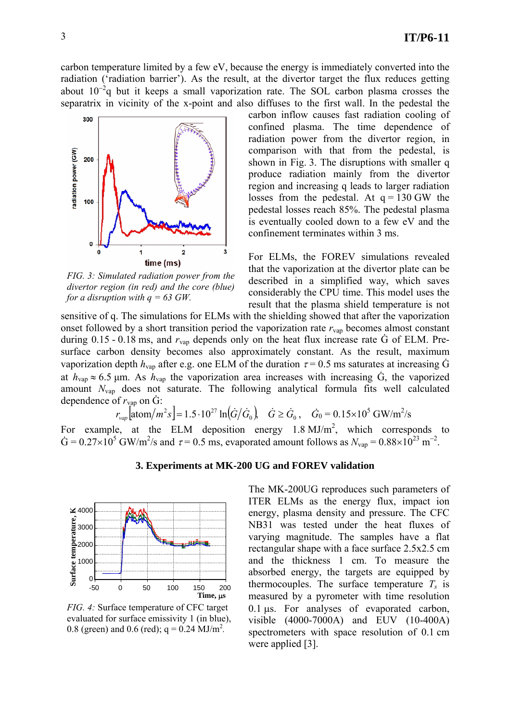carbon temperature limited by a few eV, because the energy is immediately converted into the radiation ('radiation barrier'). As the result, at the divertor target the flux reduces getting about  $10^{-2}$ q but it keeps a small vaporization rate. The SOL carbon plasma crosses the separatrix in vicinity of the x-point and also diffuses to the first wall. In the pedestal the



*FIG. 3: Simulated radiation power from the divertor region (in red) and the core (blue) for a disruption with q = 63 GW.* 

carbon inflow causes fast radiation cooling of confined plasma. The time dependence of radiation power from the divertor region, in comparison with that from the pedestal, is shown in Fig. 3. The disruptions with smaller q produce radiation mainly from the divertor region and increasing q leads to larger radiation losses from the pedestal. At  $q = 130$  GW the pedestal losses reach 85%. The pedestal plasma is eventually cooled down to a few eV and the confinement terminates within 3 ms.

For ELMs, the FOREV simulations revealed that the vaporization at the divertor plate can be described in a simplified way, which saves considerably the CPU time. This model uses the result that the plasma shield temperature is not

sensitive of q. The simulations for ELMs with the shielding showed that after the vaporization onset followed by a short transition period the vaporization rate  $r_{\text{vap}}$  becomes almost constant during  $0.15 - 0.18$  ms, and  $r_{\text{van}}$  depends only on the heat flux increase rate  $\dot{G}$  of ELM. Presurface carbon density becomes also approximately constant. As the result, maximum vaporization depth  $h_{\text{van}}$  after e.g. one ELM of the duration  $\tau = 0.5$  ms saturates at increasing G at  $h_{\text{vap}} \approx 6.5$  µm. As  $h_{\text{vap}}$  the vaporization area increases with increasing G, the vaporized amount *N*vap does not saturate. The following analytical formula fits well calculated dependence of  $r_{\text{vap}}$  on  $\dot{G}$ :

 $r_{vap}$   $\left[ \frac{\text{atom}}{m^2 s} \right] = 1.5 \cdot 10^{27} \ln(\dot{G}/\dot{G}_0), \quad \dot{G} \ge \dot{G}_0, \quad \dot{G}_0 = 0.15 \times 10^5 \text{ GW/m}^2/\text{s}$ 

For example, at the ELM deposition energy  $1.8 \text{ MJ/m}^2$ , which corresponds to  $\dot{G} = 0.27 \times 10^5$  GW/m<sup>2</sup>/s and  $\tau = 0.5$  ms, evaporated amount follows as  $N_{\text{vap}} = 0.88 \times 10^{23}$  m<sup>-2</sup>.

## **3. Experiments at MK-200 UG and FOREV validation**



*FIG. 4:* Surface temperature of CFC target evaluated for surface emissivity 1 (in blue), 0.8 (green) and 0.6 (red);  $q = 0.24$  MJ/m<sup>2</sup>.

The MK-200UG reproduces such parameters of ITER ELMs as the energy flux, impact ion energy, plasma density and pressure. The CFC NB31 was tested under the heat fluxes of varying magnitude. The samples have a flat rectangular shape with a face surface 2.5x2.5 cm and the thickness 1 cm. To measure the absorbed energy, the targets are equipped by thermocouples. The surface temperature  $T_s$  is measured by a pyrometer with time resolution 0.1 µs. For analyses of evaporated carbon, visible (4000-7000A) and EUV (10-400A) spectrometers with space resolution of 0.1 cm were applied [3].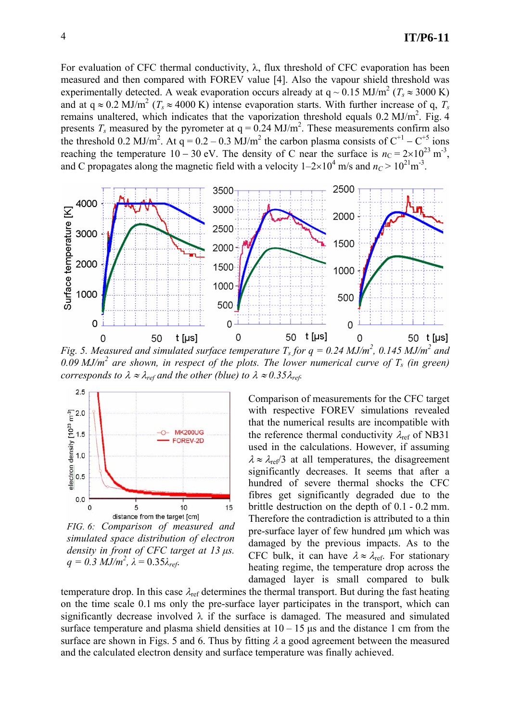For evaluation of CFC thermal conductivity,  $\lambda$ , flux threshold of CFC evaporation has been measured and then compared with FOREV value [4]. Also the vapour shield threshold was experimentally detected. A weak evaporation occurs already at  $q \sim 0.15 \text{ MJ/m}^2$  ( $T_s \approx 3000 \text{ K}$ ) and at  $q \approx 0.2 \text{ MJ/m}^2$  ( $T_s \approx 4000 \text{ K}$ ) intense evaporation starts. With further increase of q,  $T_s$ remains unaltered, which indicates that the vaporization threshold equals  $0.2 \text{ MJ/m}^2$ . Fig. 4 presents  $T_s$  measured by the pyrometer at  $q = 0.24$  MJ/m<sup>2</sup>. These measurements confirm also the threshold 0.2 MJ/m<sup>2</sup>. At q = 0.2 – 0.3 MJ/m<sup>2</sup> the carbon plasma consists of  $C^{+1} - C^{+5}$  ions reaching the temperature  $10 - 30$  eV. The density of C near the surface is  $n_c = 2 \times 10^{23}$  m<sup>-3</sup>, and C propagates along the magnetic field with a velocity  $1-2\times10^4$  m/s and  $n_c > 10^{21}$ m<sup>-3</sup>.



*Fig.* 5. Measured and simulated surface temperature  $T_s$  for  $q = 0.24$  MJ/m<sup>2</sup>, 0.145 MJ/m<sup>2</sup> and 0.09 MJ/m<sup>2</sup> are shown, in respect of the plots. The lower numerical curve of  $T_s$  (in green) *corresponds to*  $\lambda \approx \lambda_{ref}$  *and the other (blue) to*  $\lambda \approx 0.35 \lambda_{ref}$ .



*FIG. 6: Comparison of measured and simulated space distribution of electron density in front of CFC target at 13 µs.*   $q = 0.3$  *MJ/m<sup>2</sup>*,  $\lambda = 0.35 \lambda_{ref}$ .

Comparison of measurements for the CFC target with respective FOREV simulations revealed that the numerical results are incompatible with the reference thermal conductivity  $\lambda_{ref}$  of NB31 used in the calculations. However, if assuming  $\lambda \approx \lambda_{ref}/3$  at all temperatures, the disagreement significantly decreases. It seems that after a hundred of severe thermal shocks the CFC fibres get significantly degraded due to the brittle destruction on the depth of 0.1 - 0.2 mm. Therefore the contradiction is attributed to a thin pre-surface layer of few hundred µm which was damaged by the previous impacts. As to the CFC bulk, it can have  $\lambda \approx \lambda_{ref.}$  For stationary heating regime, the temperature drop across the damaged layer is small compared to bulk

temperature drop. In this case  $\lambda_{ref}$  determines the thermal transport. But during the fast heating on the time scale 0.1 ms only the pre-surface layer participates in the transport, which can significantly decrease involved  $\lambda$  if the surface is damaged. The measured and simulated surface temperature and plasma shield densities at  $10 - 15$  us and the distance 1 cm from the surface are shown in Figs. 5 and 6. Thus by fitting  $\lambda$  a good agreement between the measured and the calculated electron density and surface temperature was finally achieved.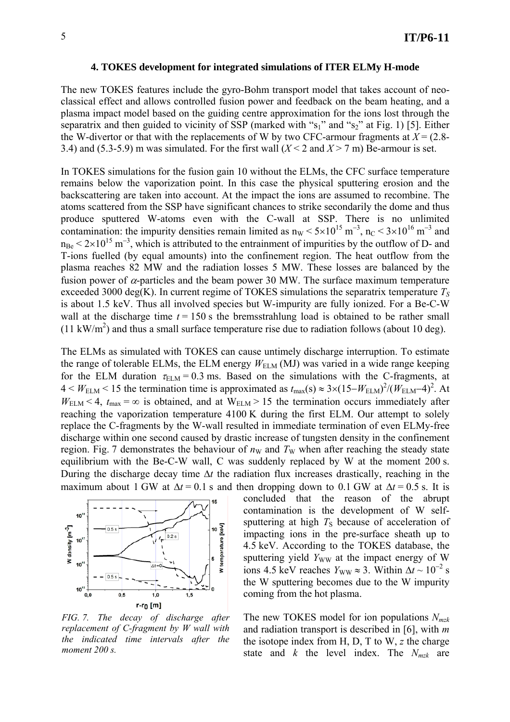#### **4. TOKES development for integrated simulations of ITER ELMy H-mode**

The new TOKES features include the gyro-Bohm transport model that takes account of neoclassical effect and allows controlled fusion power and feedback on the beam heating, and a plasma impact model based on the guiding centre approximation for the ions lost through the separatrix and then guided to vicinity of SSP (marked with " $s_1$ " and " $s_2$ " at Fig. 1) [5]. Either the W-divertor or that with the replacements of W by two CFC-armour fragments at  $X = (2.8 -$ 3.4) and (5.3-5.9) m was simulated. For the first wall  $(X < 2$  and  $X > 7$  m) Be-armour is set.

In TOKES simulations for the fusion gain 10 without the ELMs, the CFC surface temperature remains below the vaporization point. In this case the physical sputtering erosion and the backscattering are taken into account. At the impact the ions are assumed to recombine. The atoms scattered from the SSP have significant chances to strike secondarily the dome and thus produce sputtered W-atoms even with the C-wall at SSP. There is no unlimited contamination: the impurity densities remain limited as  $n_w < 5 \times 10^{15}$  m<sup>-3</sup>, n<sub>C</sub> <  $3 \times 10^{16}$  m<sup>-3</sup> and  $n_{\text{Be}}$  < 2×10<sup>15</sup> m<sup>-3</sup>, which is attributed to the entrainment of impurities by the outflow of D- and T-ions fuelled (by equal amounts) into the confinement region. The heat outflow from the plasma reaches 82 MW and the radiation losses 5 MW. These losses are balanced by the fusion power of  $\alpha$ -particles and the beam power 30 MW. The surface maximum temperature exceeded 3000 deg(K). In current regime of TOKES simulations the separatrix temperature  $T<sub>S</sub>$ is about 1.5 keV. Thus all involved species but W-impurity are fully ionized. For a Be-C-W wall at the discharge time  $t = 150$  s the bremsstrahlung load is obtained to be rather small  $(11 \text{ kW/m}^2)$  and thus a small surface temperature rise due to radiation follows (about 10 deg).

The ELMs as simulated with TOKES can cause untimely discharge interruption. To estimate the range of tolerable ELMs, the ELM energy  $W_{\text{ELM}}$  (MJ) was varied in a wide range keeping for the ELM duration  $\tau_{\text{ELM}} = 0.3$  ms. Based on the simulations with the C-fragments, at  $4 < W_{\text{ELM}} < 15$  the termination time is approximated as  $t_{\text{max}}(s) \approx 3 \times (15 - W_{\text{ELM}})^2 / (W_{\text{ELM}} - 4)^2$ . At  $W_{\text{ELM}}$  < 4,  $t_{\text{max}} = \infty$  is obtained, and at  $W_{\text{ELM}} > 15$  the termination occurs immediately after reaching the vaporization temperature 4100 K during the first ELM. Our attempt to solely replace the C-fragments by the W-wall resulted in immediate termination of even ELMy-free discharge within one second caused by drastic increase of tungsten density in the confinement region. Fig. 7 demonstrates the behaviour of  $n<sub>W</sub>$  and  $T<sub>W</sub>$  when after reaching the steady state equilibrium with the Be-C-W wall, C was suddenly replaced by W at the moment 200 s. During the discharge decay time ∆*t* the radiation flux increases drastically, reaching in the maximum about 1 GW at  $\Delta t = 0.1$  s and then dropping down to 0.1 GW at  $\Delta t = 0.5$  s. It is



*FIG. 7. The decay of discharge after replacement of C-fragment by W wall with the indicated time intervals after the moment 200 s.* 

concluded that the reason of the abrupt contamination is the development of W selfsputtering at high  $T<sub>S</sub>$  because of acceleration of impacting ions in the pre-surface sheath up to 4.5 keV. According to the TOKES database, the sputtering yield *Y<sub>WW</sub>* at the impact energy of W ions 4.5 keV reaches  $Y_{WW} \approx 3$ . Within  $\Delta t \sim 10^{-2}$  s the W sputtering becomes due to the W impurity coming from the hot plasma.

The new TOKES model for ion populations *Nmzk* and radiation transport is described in [6], with *m* the isotope index from H, D, T to W, *z* the charge state and  $k$  the level index. The  $N_{mzk}$  are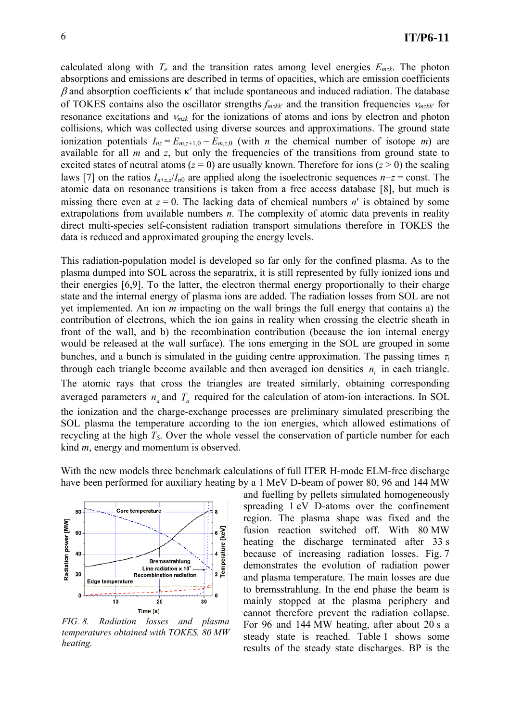calculated along with  $T_e$  and the transition rates among level energies  $E_{mzk}$ . The photon absorptions and emissions are described in terms of opacities, which are emission coefficients  $β$  and absorption coefficients κ' that include spontaneous and induced radiation. The database of TOKES contains also the oscillator strengths *fmzkk*′ and the transition frequencies <sup>ν</sup>*mzkk*′ for resonance excitations and <sup>ν</sup>*mzk* for the ionizations of atoms and ions by electron and photon collisions, which was collected using diverse sources and approximations. The ground state ionization potentials  $I_{nz} = E_{m,z+1,0} - E_{m,z,0}$  (with *n* the chemical number of isotope *m*) are available for all *m* and *z*, but only the frequencies of the transitions from ground state to excited states of neutral atoms  $(z = 0)$  are usually known. Therefore for ions  $(z > 0)$  the scaling laws [7] on the ratios *In*+*z*,*z*/*In*0 are applied along the isoelectronic sequences *n*−*z* = const. The atomic data on resonance transitions is taken from a free access database [8], but much is missing there even at  $z = 0$ . The lacking data of chemical numbers  $n'$  is obtained by some extrapolations from available numbers *n*. The complexity of atomic data prevents in reality direct multi-species self-consistent radiation transport simulations therefore in TOKES the data is reduced and approximated grouping the energy levels.

This radiation-population model is developed so far only for the confined plasma. As to the plasma dumped into SOL across the separatrix, it is still represented by fully ionized ions and their energies [6,9]. To the latter, the electron thermal energy proportionally to their charge state and the internal energy of plasma ions are added. The radiation losses from SOL are not yet implemented. An ion *m* impacting on the wall brings the full energy that contains a) the contribution of electrons, which the ion gains in reality when crossing the electric sheath in front of the wall, and b) the recombination contribution (because the ion internal energy would be released at the wall surface). The ions emerging in the SOL are grouped in some bunches, and a bunch is simulated in the guiding centre approximation. The passing times  $\tau_i$ through each triangle become available and then averaged ion densities  $\bar{n}$ , in each triangle. The atomic rays that cross the triangles are treated similarly, obtaining corresponding averaged parameters  $\overline{n}_a$  and  $\overline{T}_a$  required for the calculation of atom-ion interactions. In SOL the ionization and the charge-exchange processes are preliminary simulated prescribing the SOL plasma the temperature according to the ion energies, which allowed estimations of recycling at the high  $T<sub>S</sub>$ . Over the whole vessel the conservation of particle number for each kind *m*, energy and momentum is observed.

With the new models three benchmark calculations of full ITER H-mode ELM-free discharge have been performed for auxiliary heating by a 1 MeV D-beam of power 80, 96 and 144 MW



*FIG. 8. Radiation losses and plasma temperatures obtained with TOKES, 80 MW heating.* 

and fuelling by pellets simulated homogeneously spreading 1 eV D-atoms over the confinement region. The plasma shape was fixed and the fusion reaction switched off. With 80 MW heating the discharge terminated after 33 s because of increasing radiation losses. Fig. 7 demonstrates the evolution of radiation power and plasma temperature. The main losses are due to bremsstrahlung. In the end phase the beam is mainly stopped at the plasma periphery and cannot therefore prevent the radiation collapse. For 96 and 144 MW heating, after about 20 s a steady state is reached. Table 1 shows some results of the steady state discharges. BP is the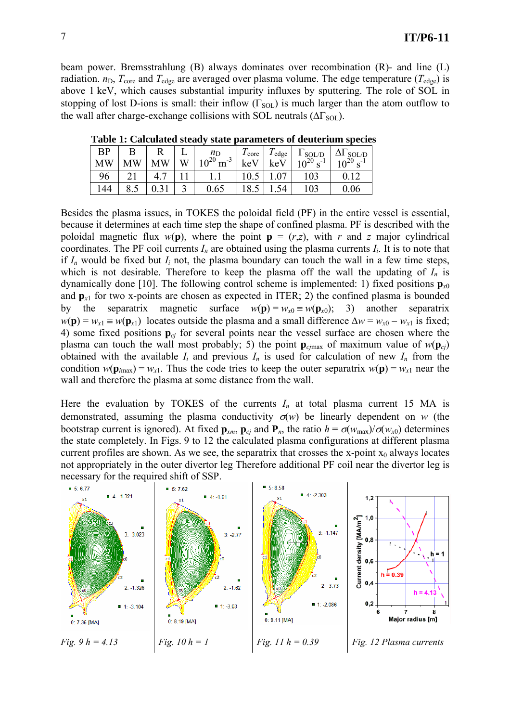beam power. Bremsstrahlung (B) always dominates over recombination (R)- and line (L) radiation.  $n_D$ ,  $T_{\text{core}}$  and  $T_{\text{edge}}$  are averaged over plasma volume. The edge temperature ( $T_{\text{edge}}$ ) is above 1 keV, which causes substantial impurity influxes by sputtering. The role of SOL in stopping of lost D-ions is small: their inflow  $(\Gamma_{\text{SOL}})$  is much larger than the atom outflow to the wall after charge-exchange collisions with SOL neutrals ( $\Delta\Gamma_{\text{SOL}}$ ).

| <b>BP</b> |           |           |   | $n_{\rm D}$           | $\frac{1}{2}$ core | $I_{\text{edge}}$ |                                             | $\Delta\Gamma_{\rm SOL/D}$ |           |
|-----------|-----------|-----------|---|-----------------------|--------------------|-------------------|---------------------------------------------|----------------------------|-----------|
| <b>MW</b> | <b>MW</b> | <b>MW</b> | W | $10^{20}$<br>$m^{-3}$ | keV                | keV               | $\frac{1}{10^{20} s^{-1}}$<br>$\sigma^{-1}$ |                            | $\sim$ -1 |
| 96        |           |           |   |                       |                    |                   | 103                                         |                            |           |
|           |           |           |   | 0.65                  |                    |                   | 103                                         | 0.06                       |           |

 **Table 1: Calculated steady state parameters of deuterium species** 

Besides the plasma issues, in TOKES the poloidal field (PF) in the entire vessel is essential, because it determines at each time step the shape of confined plasma. PF is described with the poloidal magnetic flux  $w(\mathbf{p})$ , where the point  $\mathbf{p} = (r,z)$ , with *r* and *z* major cylindrical coordinates. The PF coil currents  $I_n$  are obtained using the plasma currents  $I_i$ . It is to note that if  $I_n$  would be fixed but  $I_i$  not, the plasma boundary can touch the wall in a few time steps, which is not desirable. Therefore to keep the plasma off the wall the updating of  $I_n$  is dynamically done [10]. The following control scheme is implemented: 1) fixed positions  $\mathbf{p}_{x0}$ and  $\mathbf{p}_{x1}$  for two x-points are chosen as expected in ITER; 2) the confined plasma is bounded by the separatrix magnetic surface  $w(\mathbf{p}) = w_{x0} = w(\mathbf{p}_{x0})$ ; 3) another separatrix  $w(\mathbf{p}) = w_{x1} \equiv w(\mathbf{p}_{x1})$  locates outside the plasma and a small difference  $\Delta w = w_{x0} - w_{x1}$  is fixed; 4) some fixed positions **p***cj* for several points near the vessel surface are chosen where the plasma can touch the wall most probably; 5) the point  $\mathbf{p}_{c,max}$  of maximum value of  $w(\mathbf{p}_{c})$ obtained with the available  $I_i$  and previous  $I_n$  is used for calculation of new  $I_n$  from the condition  $w(\mathbf{p}_{imax}) = w_{x1}$ . Thus the code tries to keep the outer separatrix  $w(\mathbf{p}) = w_{x1}$  near the wall and therefore the plasma at some distance from the wall.

Here the evaluation by TOKES of the currents  $I_n$  at total plasma current 15 MA is demonstrated, assuming the plasma conductivity  $\sigma(w)$  be linearly dependent on *w* (the bootstrap current is ignored). At fixed  $\mathbf{p}_{xm}$ ,  $\mathbf{p}_{cj}$  and  $\mathbf{P}_{n}$ , the ratio  $h = \sigma(w_{max})/\sigma(w_{x0})$  determines the state completely. In Figs. 9 to 12 the calculated plasma configurations at different plasma current profiles are shown. As we see, the separatrix that crosses the x-point  $x_0$  always locates not appropriately in the outer divertor leg Therefore additional PF coil near the divertor leg is necessary for the required shift of SSP.